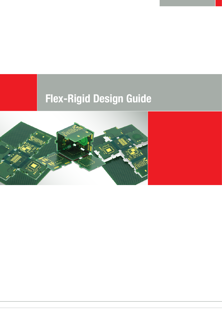# Flex-Rigid Design Guide

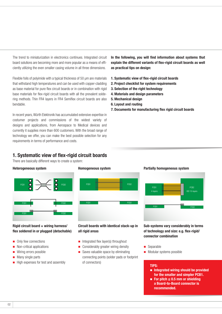The trend to miniaturization in electronics continues. Integrated circuit board solutions are becoming more and more popular as a means of efficiently utilizing the even smaller casing volume in all three dimensions.

Flexible foils of polyimide with a typical thickness of 50 µm are materials that withstand high temperatures and can be used with copper-cladding as base material for pure flex circuit boards or in combination with rigid base materials for flex-rigid circuit boards with all the prevalent soldering methods. Thin FR4 layers in FR4 Semiflex circuit boards are also bendable.

In recent years, Würth Elektronik has accumulated extensive expertise in costumer projects and commissions of the widest variety of designs and applications, from Aerospace to Medical devices and currently it supplies more than 600 customers. With the broad range of technology we offer, you can make the best possible selection for any requirements in terms of performance and costs.

# In the following, you will find information about systems that explain the different variants of flex-rigid circuit boards as well as practical tips on design:

- 1. Systematic view of flex-rigid circuit boards
- 2. Project checklist for system requirements
- 3. Selection of the right technology
- 4. Materials and design parameters
- 5. Mechanical design
- 6. Layout and routing
- 7. Documents for manufacturing flex rigid circuit boards

# 1. Systematic view of flex-rigid circuit boards

There are basically different ways to create a system:

#### Heterogeneous system



### Rigid circuit board + wiring harness/ flex soldered in or plugged (detachable)

- Only few connections
- Non-critical applications
- Wiring errors possible
- $\blacksquare$  Many single parts
- $\blacksquare$  High expenses for test and assembly



# Circuit boards with identical stack-up in all rigid areas

- $\blacksquare$  Integrated flex layer(s) throughout
- Considerably greater wiring density
- $\blacksquare$  Saves valuable space by eliminating connecting points (solder pads or footprint of connectors)

#### Partially homogeneous system



Sub-systems vary considerably in terms of technology and size: e.g. flex-rigid/ connector combination

- Separable
- $\blacksquare$  Modular systems possible

# TIPS:

- $\blacksquare$  Integrated wiring should be provided for the smaller and simpler PCB1.
- For pitch  $\leq 0.5$  mm or shielding a Board-to-Board connector is recommended.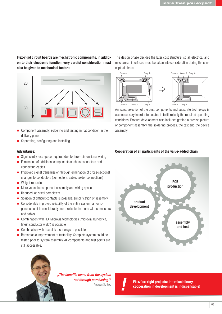Flex-rigid circuit boards are mechatronic components. In addition to their electronic function, very careful consideration must also be given to mechanical factors:



- Component assembly, soldering and testing in flat condition in the delivery panel
- Separating, configuring and installing

#### Advantages:

- Significantly less space required due to three-dimensional wiring
- **Elimination of additional components such as connectors and** connecting cables
- **Improved signal transmission through elimination of cross-sectional** changes to conductors (connectors, cable, solder connections)
- Weight reduction
- More valuable component assembly and wiring space
- Reduced logistical complexity
- Solution of difficult contacts is possible, simplification of assembly
- **EX** Considerably improved reliability of the entire system (a homogeneous unit is considerably more reliable than one with connectors and cable)
- Combination with HDI Microvia technologies (microvia, buried via, finest conductor width) is possible
- Combination with heatsink technology is possible
- Remarkable improvement of testability. Complete system could be tested prior to system assembly. All components and test points are still accessable.

The design phase decides the later cost structure, so all electrical and mechanical interfaces must be taken into consideration during the conceptual phase.



An exact selection of the best components and substrate technology is also necessary in order to be able to fulfill reliably the required operating conditions. Product development also includes getting a precise picture of component assembly, the soldering process, the test and the device assembly.

#### Cooperation of all participants of the value-added chain



*"The benefits come from the system not through purchasing!"*

**Andreas Schilpp Flex/flex-rigid projects: Interdisciplinary**<br>Andreas Schilpp **Flex/flex-rigid projects: Interdisciplinary** cooperation in development is indispensable!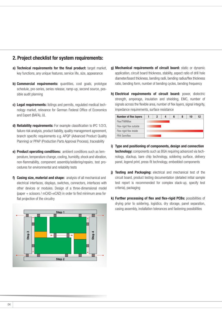# 2. Project checklist for system requirements:

- a) Technical requirements for the final product: target market, key functions, any unique features, service life, size, appearance
- b) **Commercial requirements:** quantities, cost goals, prototype schedule, pre-series, series release, ramp-up, second source, possible audit planning
- c) Legal requirements: listings and permits, requiated medical technology market, relevance for German Federal Office of Economics and Export (BAFA), UL
- d) Reliability requirements: For example classification to IPC 1/2/3, failure risk analysis, product liability, quality management agreement, branch specific requirements e.g. APQP (Advanced Product Quality Planning) or PPAP (Production Parts Approval Process), traceability
- e) Product operating conditions: ambient conditions such as temperature, temperature change, cooling, humidity, shock and vibration, non-flammability, component assembly/soldering/repairs, test procedures for environmental and reliability tests
- f) **Casing size, material and shape:** analysis of all mechanical and electrical interfaces, displays, switches, connectors, interfaces with other devices or modules. Design of a three-dimensional model (paper + scissors / mCAD+eCAD) in order to find minimum area for flat projection of the circuitry



- g) Mechanical requirements of circuit board: static or dynamic application, circuit board thickness, stability, aspect ratio of drill hole diameter/board thickness, bending radii, bending radius/flex thickness ratio, bending form, number of bending cycles, bending frequency
- h) Electrical requirements of circuit board: power, dielectric strength, amperage, insulation and shielding, EMC, number of signals across the flexible area, number of flex layers, signal integrity, impedance requirements, surface resistance

| <b>Number of flex layers</b> | 2 | 4 | 6 | 8 | 10 | 12 |
|------------------------------|---|---|---|---|----|----|
| Flex/TWINflex                |   |   |   |   |    |    |
| Flex-rigid flex outside      |   |   |   |   |    |    |
| Flex-rigid flex inside       |   |   |   |   |    |    |
| <b>FR4 Semiflex</b>          |   |   |   |   |    |    |

- i) Type and positioning of components, design and connection technology: components such as BGA requiring advanced via technology, stackup, bare chip technology, soldering surface, delivery panel, legend print, press-fit technology, embedded components
- j) Testing and Packaging: electrical and mechanical test of the circuit board, product testing documentation (detailed initial sample test report is recommended for complex stack-up, specify test criteria), packaging
- k) Further processing of flex and flex-rigid PCBs: possibilities of drying prior to soldering, logistics, dry storage, panel separation, casing assembly, installation tolerances and fastening possibilities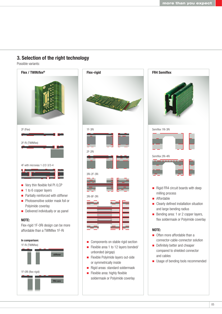# 3. Selection of the right technology

Possible variants:





- **Flexible Polyimide layers out-side** or symmetrically inside
- Rigid areas: standard soldermask
- $\blacksquare$  Flexible area: highly flexible soldermask or Polyimide coverlay

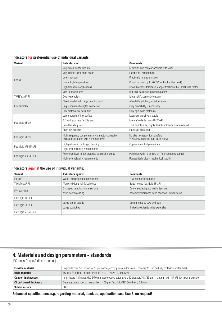|  | Indicators for preferential use of individual variants: |  |  |  |  |
|--|---------------------------------------------------------|--|--|--|--|
|--|---------------------------------------------------------|--|--|--|--|

| <b>Variant</b>        | <b>Indicators for</b>                                                                         | <b>Comments</b>                                                       |  |  |
|-----------------------|-----------------------------------------------------------------------------------------------|-----------------------------------------------------------------------|--|--|
| Flex xF               | Very small, dense circuits                                                                    | Microvias and contour possible with laser                             |  |  |
|                       | Very limited installation space                                                               | Flexible foil 50 um thick                                             |  |  |
|                       | Use in vacuum                                                                                 | Practically no gas emission                                           |  |  |
|                       | Use at high temperatures                                                                      | PI can be used up to 200°C (without solder mask)                      |  |  |
|                       | High frequency applications                                                                   | Good thickness tolerance, copper treatment flat, small loss factor    |  |  |
|                       | Vias in flexible area                                                                         | But NOT permitted in bending area!                                    |  |  |
| <b>TWINflex xF-Ri</b> | Cooling problem                                                                               | Metal reinforcement (heatsink)                                        |  |  |
| <b>FR4 Semiflex</b>   | Flex-to-install with large bending radii                                                      | Affordable solution, miniaturization                                  |  |  |
|                       | Large board with angled connector                                                             | Only bendability is necessary                                         |  |  |
|                       | Flex material not permitted                                                                   | Only rigid base materials                                             |  |  |
| Flex-rigid 1F-xRi     | Large portion of flex surface                                                                 | Laser-cut panel very stable                                           |  |  |
|                       | 1:1 wiring across flexible area                                                               | More affordable than xRi-2F-xRi                                       |  |  |
|                       | Small bending radii                                                                           | Thin flexible area, highly flexible soldermask or cover foil          |  |  |
|                       | Short drying times                                                                            | Flex layer on outside                                                 |  |  |
| Flex-rigid 2F-xRi     | High-frequency component-to-connector connection<br>across flexible area with reference layer | No vias necessary for transfers<br>WARNING: complex (see table below) |  |  |
| Flex-rigid xRi-1F-xRi | Highly-dynamic prolonged bending                                                              | Copper in neutral phase ideal                                         |  |  |
|                       | High-level reliability requirements                                                           | ٠                                                                     |  |  |
|                       | Reference layer in flex area due to signal integrity                                          | Polyimide with 75 or 100 um for impedance control                     |  |  |
| Flex-rigid xRi-2F-xRi | High-level reliability requirements                                                           | Rugged technology, mechanical stability                               |  |  |

#### Indicators against the use of individual variants:

| <b>Variant</b>        | <b>Indicators against</b>       | <b>Comments</b>                                  |  |
|-----------------------|---------------------------------|--------------------------------------------------|--|
| Flex xF               | Wired components or connectors  | Low mechanical stability                         |  |
| <b>TWINflex xF-Ri</b> | Many individual reinforcements  | Better to use flex-rigid 1F-xRi                  |  |
| <b>FR4 Semiflex</b>   | S-shaped bending in one surface | Do not subject glass mat to tension              |  |
|                       | Multi-section casing            | Assembly tolerances have effect on Semiflex area |  |
| Flex-rigid 1F-xRi     |                                 | $\overline{\phantom{a}}$                         |  |
| Flex-rigid 2F-xRi     | Large circuit boards            | Design tends to bow and twist                    |  |
|                       | Large quantities                | limited area, tends to be expensive              |  |
| Flex-rigid xRi-2F-xRi | $\sim$                          | $\overline{\phantom{a}}$                         |  |

# 4. Materials and design parameters - standards

IPC class 2, use A (flex-to-install)

| <b>Flexible material</b>       | Polyimide core 50 µm, up to 70 µm copper, epoxy glue or adhesiveles, coverlay 25 µm partially or flexible solder mask            |
|--------------------------------|----------------------------------------------------------------------------------------------------------------------------------|
| <b>Rigid material</b>          | TG 150 FR4 filled, halogen-free: IPC-4101C /128 (92,94,127)                                                                      |
| <b>Copper thicknesses</b>      | Inner layers 18(standard)/35/70 µm base copper, outer layers 12(standard)/18/35 µm + plating (with 1F-xRi flex layer is outside) |
| <b>Circuit board thickness</b> | Depends on number of layers: flex > 100 $\mu$ m, flex-rigid/FR4 Semiflex $\geq 0.8$ mm                                           |
| Solder surface                 | <b>ENIG</b>                                                                                                                      |

# Enhanced specifications, e.g. regarding material, stack up, application case Use B, on request!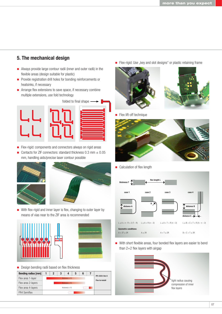# 5. The mechanical design

- Always provide large contour radii (inner and outer radii) in the flexible areas (design suitable for plastic)
- **Provide registration drill holes for bonding reinforcements or** heatsinks, if necessary
- **EXTENDING** Arrange flex extensions to save space, if necessary combine multiple extensions, use fold technology



Flex-rigid: components and connectors always on rigid areas

Contacts for ZIF connectors: standard thickness  $0.3$  mm  $\pm 0.05$ mm, handling aids/precise laser contour possible



With flex-rigid and inner layer is flex, changing to outer layer by means of vias near to the ZIF area is recommended





**Design bending radii based on flex thickness** 



Flex-rigid: Use "key and slot designs" or plastic retaining frame





**Flex lift-off technique** 



■ Calculation of flex length



With short flexible areas, four bonded flex layers are easier to bend than 2+2 flex layers with airgap